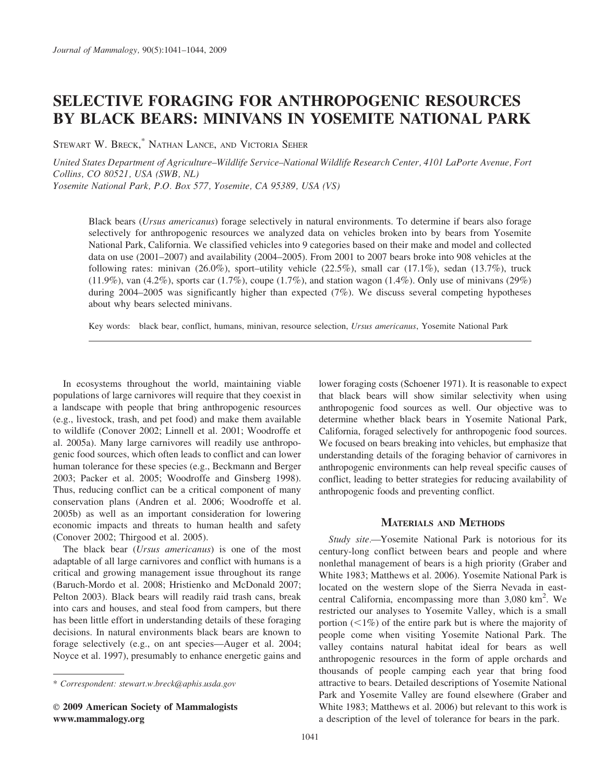# SELECTIVE FORAGING FOR ANTHROPOGENIC RESOURCES BY BLACK BEARS: MINIVANS IN YOSEMITE NATIONAL PARK

STEWART W. BRECK, \* NATHAN LANCE, AND VICTORIA SEHER

United States Department of Agriculture–Wildlife Service–National Wildlife Research Center, 4101 LaPorte Avenue, Fort Collins, CO 80521, USA (SWB, NL)

Yosemite National Park, P.O. Box 577, Yosemite, CA 95389, USA (VS)

Black bears (*Ursus americanus*) forage selectively in natural environments. To determine if bears also forage selectively for anthropogenic resources we analyzed data on vehicles broken into by bears from Yosemite National Park, California. We classified vehicles into 9 categories based on their make and model and collected data on use (2001–2007) and availability (2004–2005). From 2001 to 2007 bears broke into 908 vehicles at the following rates: minivan (26.0%), sport–utility vehicle (22.5%), small car (17.1%), sedan (13.7%), truck (11.9%), van (4.2%), sports car (1.7%), coupe (1.7%), and station wagon (1.4%). Only use of minivans (29%) during 2004–2005 was significantly higher than expected (7%). We discuss several competing hypotheses about why bears selected minivans.

Key words: black bear, conflict, humans, minivan, resource selection, Ursus americanus, Yosemite National Park

In ecosystems throughout the world, maintaining viable populations of large carnivores will require that they coexist in a landscape with people that bring anthropogenic resources (e.g., livestock, trash, and pet food) and make them available to wildlife (Conover 2002; Linnell et al. 2001; Woodroffe et al. 2005a). Many large carnivores will readily use anthropogenic food sources, which often leads to conflict and can lower human tolerance for these species (e.g., Beckmann and Berger 2003; Packer et al. 2005; Woodroffe and Ginsberg 1998). Thus, reducing conflict can be a critical component of many conservation plans (Andren et al. 2006; Woodroffe et al. 2005b) as well as an important consideration for lowering economic impacts and threats to human health and safety (Conover 2002; Thirgood et al. 2005).

The black bear (Ursus americanus) is one of the most adaptable of all large carnivores and conflict with humans is a critical and growing management issue throughout its range (Baruch-Mordo et al. 2008; Hristienko and McDonald 2007; Pelton 2003). Black bears will readily raid trash cans, break into cars and houses, and steal food from campers, but there has been little effort in understanding details of these foraging decisions. In natural environments black bears are known to forage selectively (e.g., on ant species—Auger et al. 2004; Noyce et al. 1997), presumably to enhance energetic gains and

lower foraging costs (Schoener 1971). It is reasonable to expect that black bears will show similar selectivity when using anthropogenic food sources as well. Our objective was to determine whether black bears in Yosemite National Park, California, foraged selectively for anthropogenic food sources. We focused on bears breaking into vehicles, but emphasize that understanding details of the foraging behavior of carnivores in anthropogenic environments can help reveal specific causes of conflict, leading to better strategies for reducing availability of anthropogenic foods and preventing conflict.

## MATERIALS AND METHODS

Study site.—Yosemite National Park is notorious for its century-long conflict between bears and people and where nonlethal management of bears is a high priority (Graber and White 1983; Matthews et al. 2006). Yosemite National Park is located on the western slope of the Sierra Nevada in eastcentral California, encompassing more than  $3,080 \text{ km}^2$ . We restricted our analyses to Yosemite Valley, which is a small portion  $\left(\langle 1\% \right)$  of the entire park but is where the majority of people come when visiting Yosemite National Park. The valley contains natural habitat ideal for bears as well anthropogenic resources in the form of apple orchards and thousands of people camping each year that bring food attractive to bears. Detailed descriptions of Yosemite National Park and Yosemite Valley are found elsewhere (Graber and White 1983; Matthews et al. 2006) but relevant to this work is a description of the level of tolerance for bears in the park.

<sup>\*</sup> Correspondent: stewart.w.breck@aphis.usda.gov

E 2009 American Society of Mammalogists www.mammalogy.org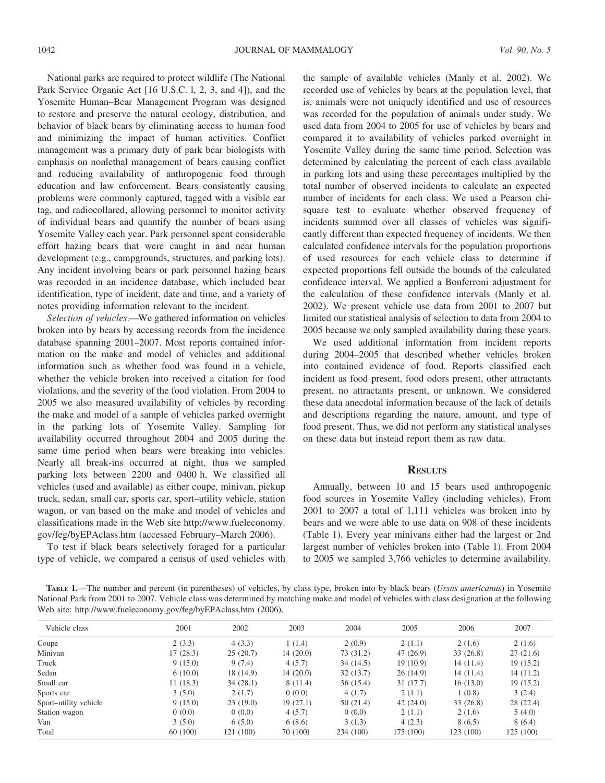National parks are required to protect wildlife (The National Park Service Organic Act [16 U.S.C. l, 2, 3, and 4]), and the Yosemite Human–Bear Management Program was designed to restore and preserve the natural ecology, distribution, and behavior of black bears by eliminating access to human food and minimizing the impact of human activities. Conflict management was a primary duty of park bear biologists with emphasis on nonlethal management of bears causing conflict and reducing availability of anthropogenic food through education and law enforcement. Bears consistently causing problems were commonly captured, tagged with a visible ear tag, and radiocollared, allowing personnel to monitor activity of individual bears and quantify the number of bears using Yosemite Valley each year. Park personnel spent considerable effort hazing bears that were caught in and near human development (e.g., campgrounds, structures, and parking lots). Any incident involving bears or park personnel hazing bears was recorded in an incidence database, which included bear identification, type of incident, date and time, and a variety of notes providing information relevant to the incident.

Selection of vehicles.—We gathered information on vehicles broken into by bears by accessing records from the incidence database spanning 2001–2007. Most reports contained information on the make and model of vehicles and additional information such as whether food was found in a vehicle, whether the vehicle broken into received a citation for food violations, and the severity of the food violation. From 2004 to 2005 we also measured availability of vehicles by recording the make and model of a sample of vehicles parked overnight in the parking lots of Yosemite Valley. Sampling for availability occurred throughout 2004 and 2005 during the same time period when bears were breaking into vehicles. Nearly all break-ins occurred at night, thus we sampled parking lots between 2200 and 0400 h. We classified all vehicles (used and available) as either coupe, minivan, pickup truck, sedan, small car, sports car, sport–utility vehicle, station wagon, or van based on the make and model of vehicles and classifications made in the Web site http://www.fueleconomy. gov/feg/byEPAclass.htm (accessed February–March 2006).

To test if black bears selectively foraged for a particular type of vehicle, we compared a census of used vehicles with the sample of available vehicles (Manly et al. 2002). We recorded use of vehicles by bears at the population level, that is, animals were not uniquely identified and use of resources was recorded for the population of animals under study. We used data from 2004 to 2005 for use of vehicles by bears and compared it to availability of vehicles parked overnight in Yosemite Valley during the same time period. Selection was determined by calculating the percent of each class available in parking lots and using these percentages multiplied by the total number of observed incidents to calculate an expected number of incidents for each class. We used a Pearson chisquare test to evaluate whether observed frequency of incidents summed over all classes of vehicles was significantly different than expected frequency of incidents. We then calculated confidence intervals for the population proportions of used resources for each vehicle class to determine if expected proportions fell outside the bounds of the calculated confidence interval. We applied a Bonferroni adjustment for the calculation of these confidence intervals (Manly et al. 2002). We present vehicle use data from 2001 to 2007 but limited our statistical analysis of selection to data from 2004 to 2005 because we only sampled availability during these years.

We used additional information from incident reports during 2004–2005 that described whether vehicles broken into contained evidence of food. Reports classified each incident as food present, food odors present, other attractants present, no attractants present, or unknown. We considered these data anecdotal information because of the lack of details and descriptions regarding the nature, amount, and type of food present. Thus, we did not perform any statistical analyses on these data but instead report them as raw data.

# **RESULTS**

Annually, between 10 and 15 bears used anthropogenic food sources in Yosemite Valley (including vehicles). From 2001 to 2007 a total of 1,111 vehicles was broken into by bears and we were able to use data on 908 of these incidents (Table 1). Every year minivans either had the largest or 2nd largest number of vehicles broken into (Table 1). From 2004 to 2005 we sampled 3,766 vehicles to determine availability.

TABLE 1.—The number and percent (in parentheses) of vehicles, by class type, broken into by black bears (Ursus americanus) in Yosemite National Park from 2001 to 2007. Vehicle class was determined by matching make and model of vehicles with class designation at the following Web site: http://www.fueleconomy.gov/feg/byEPAclass.htm (2006).

|                       |          | 2002      | 2003     | 2004      | 2005      | 2006      | 2007      |
|-----------------------|----------|-----------|----------|-----------|-----------|-----------|-----------|
| Vehicle class         | 2001     |           |          |           |           |           |           |
| Coupe                 | 2(3.3)   | 4(3.3)    | 1(1.4)   | 2(0.9)    | 2(1.1)    | 2(1.6)    | 2(1.6)    |
| Minivan               | 17(28.3) | 25(20.7)  | 14(20.0) | 73 (31.2) | 47(26.9)  | 33(26.8)  | 27(21.6)  |
| Truck                 | 9(15.0)  | 9(7.4)    | 4(5.7)   | 34(14.5)  | 19(10.9)  | 14(11.4)  | 19(15.2)  |
| Sedan                 | 6(10.0)  | 18 (14.9) | 14(20.0) | 32(13.7)  | 26(14.9)  | 14(11.4)  | 14(11.2)  |
| Small car             | 11(18.3) | 34(28.1)  | 8(11.4)  | 36(15.4)  | 31(17.7)  | 16(13.0)  | 19(15.2)  |
| Sports car            | 3(5.0)   | 2(1.7)    | 0(0.0)   | 4(1.7)    | 2(1.1)    | 1(0.8)    | 3(2.4)    |
| Sport-utility vehicle | 9(15.0)  | 23(19.0)  | 19(27.1) | 50 (21.4) | 42(24.0)  | 33(26.8)  | 28 (22.4) |
| Station wagon         | 0(0.0)   | 0(0.0)    | 4(5.7)   | 0(0.0)    | 2(1.1)    | 2(1.6)    | 5(4.0)    |
| Van                   | 3(5.0)   | 6(5.0)    | 6(8.6)   | 3(1.3)    | 4(2.3)    | 8(6.5)    | 8(6.4)    |
| Total                 | 60 (100) | 121 (100) | 70 (100) | 234 (100) | 175 (100) | 123 (100) | 125 (100) |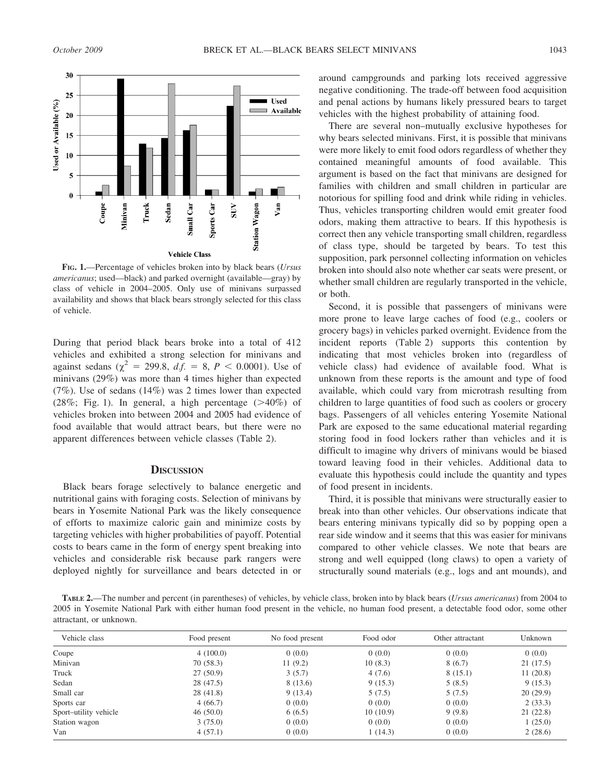

FIG. 1.—Percentage of vehicles broken into by black bears (Ursus americanus; used—black) and parked overnight (available—gray) by class of vehicle in 2004–2005. Only use of minivans surpassed availability and shows that black bears strongly selected for this class of vehicle.

During that period black bears broke into a total of 412 vehicles and exhibited a strong selection for minivans and against sedans ( $\chi^2 = 299.8$ , d.f. = 8, P < 0.0001). Use of minivans (29%) was more than 4 times higher than expected (7%). Use of sedans (14%) was 2 times lower than expected (28%; Fig. 1). In general, a high percentage  $(>40\%)$  of vehicles broken into between 2004 and 2005 had evidence of food available that would attract bears, but there were no apparent differences between vehicle classes (Table 2).

### **DISCUSSION**

Black bears forage selectively to balance energetic and nutritional gains with foraging costs. Selection of minivans by bears in Yosemite National Park was the likely consequence of efforts to maximize caloric gain and minimize costs by targeting vehicles with higher probabilities of payoff. Potential costs to bears came in the form of energy spent breaking into vehicles and considerable risk because park rangers were deployed nightly for surveillance and bears detected in or around campgrounds and parking lots received aggressive negative conditioning. The trade-off between food acquisition and penal actions by humans likely pressured bears to target vehicles with the highest probability of attaining food.

There are several non–mutually exclusive hypotheses for why bears selected minivans. First, it is possible that minivans were more likely to emit food odors regardless of whether they contained meaningful amounts of food available. This argument is based on the fact that minivans are designed for families with children and small children in particular are notorious for spilling food and drink while riding in vehicles. Thus, vehicles transporting children would emit greater food odors, making them attractive to bears. If this hypothesis is correct then any vehicle transporting small children, regardless of class type, should be targeted by bears. To test this supposition, park personnel collecting information on vehicles broken into should also note whether car seats were present, or whether small children are regularly transported in the vehicle, or both.

Second, it is possible that passengers of minivans were more prone to leave large caches of food (e.g., coolers or grocery bags) in vehicles parked overnight. Evidence from the incident reports (Table 2) supports this contention by indicating that most vehicles broken into (regardless of vehicle class) had evidence of available food. What is unknown from these reports is the amount and type of food available, which could vary from microtrash resulting from children to large quantities of food such as coolers or grocery bags. Passengers of all vehicles entering Yosemite National Park are exposed to the same educational material regarding storing food in food lockers rather than vehicles and it is difficult to imagine why drivers of minivans would be biased toward leaving food in their vehicles. Additional data to evaluate this hypothesis could include the quantity and types of food present in incidents.

Third, it is possible that minivans were structurally easier to break into than other vehicles. Our observations indicate that bears entering minivans typically did so by popping open a rear side window and it seems that this was easier for minivans compared to other vehicle classes. We note that bears are strong and well equipped (long claws) to open a variety of structurally sound materials (e.g., logs and ant mounds), and

TABLE 2.—The number and percent (in parentheses) of vehicles, by vehicle class, broken into by black bears (*Ursus americanus*) from 2004 to 2005 in Yosemite National Park with either human food present in the vehicle, no human food present, a detectable food odor, some other attractant, or unknown.

| Vehicle class         | Food present | No food present | Food odor | Other attractant | Unknown   |
|-----------------------|--------------|-----------------|-----------|------------------|-----------|
| Coupe                 | 4(100.0)     | 0(0.0)          | 0(0.0)    | 0(0.0)           | 0(0.0)    |
| Minivan               | 70(58.3)     | 11(9.2)         | 10(8.3)   | 8(6.7)           | 21 (17.5) |
| Truck                 | 27(50.9)     | 3(5.7)          | 4(7.6)    | 8(15.1)          | 11(20.8)  |
| Sedan                 | 28 (47.5)    | 8 (13.6)        | 9(15.3)   | 5(8.5)           | 9(15.3)   |
| Small car             | 28(41.8)     | 9(13.4)         | 5(7.5)    | 5(7.5)           | 20(29.9)  |
| Sports car            | 4(66.7)      | 0(0.0)          | 0(0.0)    | 0(0.0)           | 2(33.3)   |
| Sport-utility vehicle | 46(50.0)     | 6(6.5)          | 10(10.9)  | 9(9.8)           | 21(22.8)  |
| Station wagon         | 3(75.0)      | 0(0.0)          | 0(0.0)    | 0(0.0)           | 1(25.0)   |
| Van                   | 4(57.1)      | 0(0.0)          | 1(14.3)   | 0(0.0)           | 2(28.6)   |